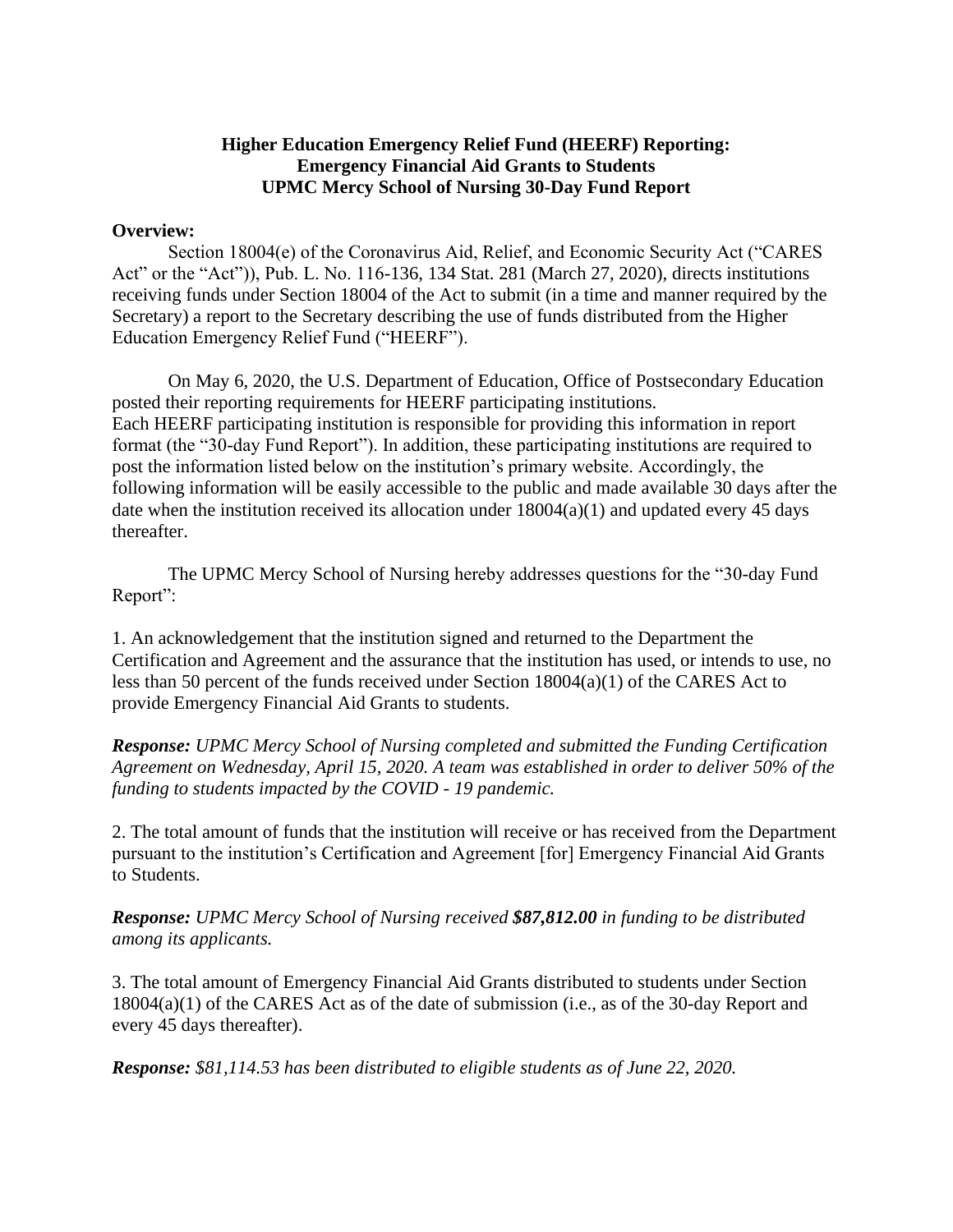## **Higher Education Emergency Relief Fund (HEERF) Reporting: Emergency Financial Aid Grants to Students UPMC Mercy School of Nursing 30-Day Fund Report**

## **Overview:**

Section 18004(e) of the Coronavirus Aid, Relief, and Economic Security Act ("CARES Act" or the "Act")), Pub. L. No. 116-136, 134 Stat. 281 (March 27, 2020), directs institutions receiving funds under Section 18004 of the Act to submit (in a time and manner required by the Secretary) a report to the Secretary describing the use of funds distributed from the Higher Education Emergency Relief Fund ("HEERF").

On May 6, 2020, the U.S. Department of Education, Office of Postsecondary Education posted their reporting requirements for HEERF participating institutions. Each HEERF participating institution is responsible for providing this information in report format (the "30-day Fund Report"). In addition, these participating institutions are required to post the information listed below on the institution's primary website. Accordingly, the following information will be easily accessible to the public and made available 30 days after the date when the institution received its allocation under  $18004(a)(1)$  and updated every 45 days thereafter.

The UPMC Mercy School of Nursing hereby addresses questions for the "30-day Fund Report":

1. An acknowledgement that the institution signed and returned to the Department the Certification and Agreement and the assurance that the institution has used, or intends to use, no less than 50 percent of the funds received under Section 18004(a)(1) of the CARES Act to provide Emergency Financial Aid Grants to students.

*Response: UPMC Mercy School of Nursing completed and submitted the Funding Certification Agreement on Wednesday, April 15, 2020. A team was established in order to deliver 50% of the funding to students impacted by the COVID - 19 pandemic.* 

2. The total amount of funds that the institution will receive or has received from the Department pursuant to the institution's Certification and Agreement [for] Emergency Financial Aid Grants to Students.

*Response: UPMC Mercy School of Nursing received \$87,812.00 in funding to be distributed among its applicants.* 

3. The total amount of Emergency Financial Aid Grants distributed to students under Section 18004(a)(1) of the CARES Act as of the date of submission (i.e., as of the 30-day Report and every 45 days thereafter).

*Response: \$81,114.53 has been distributed to eligible students as of June 22, 2020.*